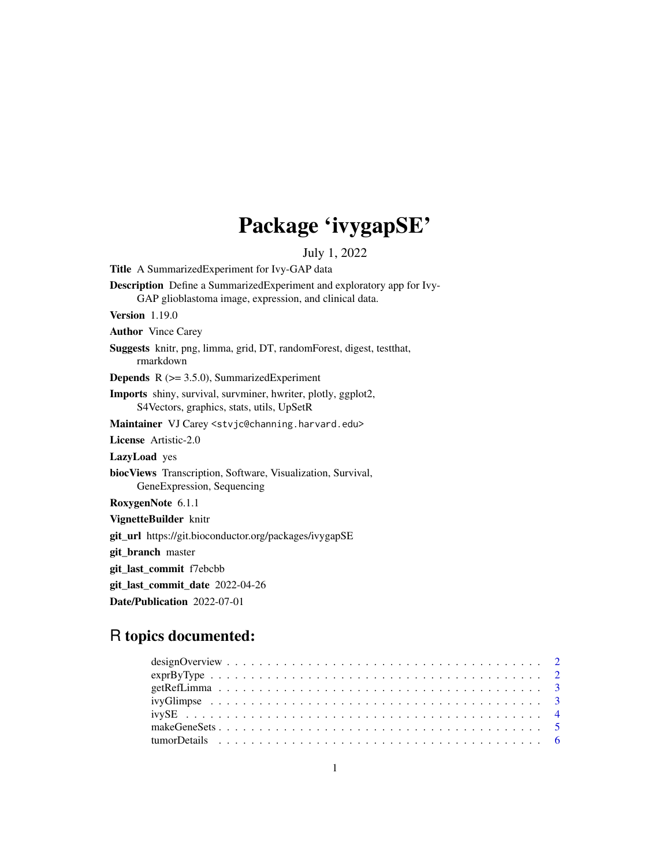## Package 'ivygapSE'

July 1, 2022

<span id="page-0-0"></span>Title A SummarizedExperiment for Ivy-GAP data Description Define a SummarizedExperiment and exploratory app for Ivy-GAP glioblastoma image, expression, and clinical data. Version 1.19.0 Author Vince Carey Suggests knitr, png, limma, grid, DT, randomForest, digest, testthat, rmarkdown **Depends**  $R$  ( $>= 3.5.0$ ), SummarizedExperiment Imports shiny, survival, survminer, hwriter, plotly, ggplot2, S4Vectors, graphics, stats, utils, UpSetR Maintainer VJ Carey <stvjc@channing.harvard.edu> License Artistic-2.0 LazyLoad yes biocViews Transcription, Software, Visualization, Survival, GeneExpression, Sequencing RoxygenNote 6.1.1 VignetteBuilder knitr git\_url https://git.bioconductor.org/packages/ivygapSE git\_branch master git\_last\_commit f7ebcbb git\_last\_commit\_date 2022-04-26 Date/Publication 2022-07-01

### R topics documented:

| $\exp\left(\frac{1}{2}\right)$ |  |
|--------------------------------|--|
|                                |  |
|                                |  |
|                                |  |
|                                |  |
|                                |  |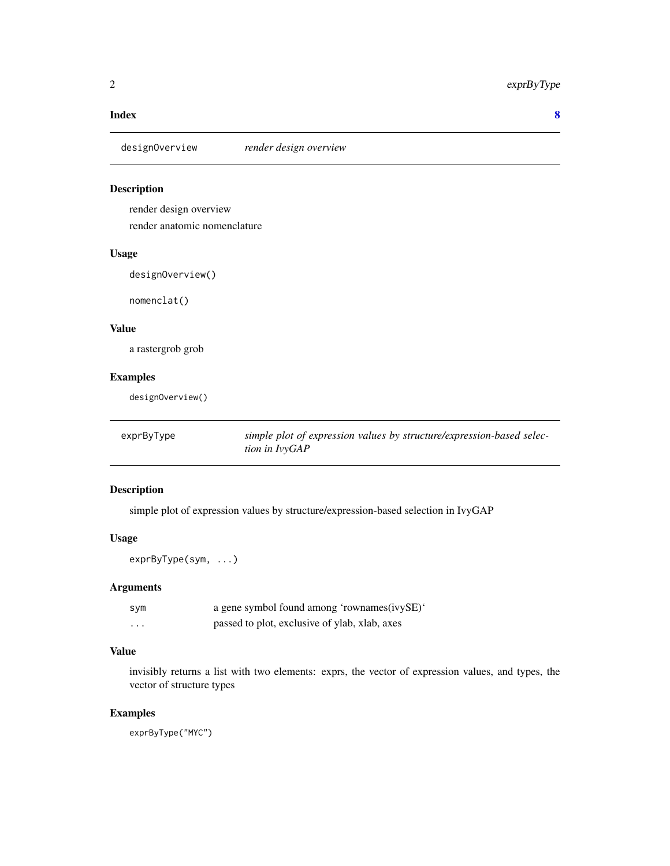#### <span id="page-1-0"></span>**Index** [8](#page-7-0) **8**

designOverview *render design overview*

#### Description

render design overview

render anatomic nomenclature

#### Usage

designOverview()

nomenclat()

#### Value

a rastergrob grob

#### Examples

designOverview()

exprByType *simple plot of expression values by structure/expression-based selection in IvyGAP*

#### Description

simple plot of expression values by structure/expression-based selection in IvyGAP

#### Usage

exprByType(sym, ...)

#### Arguments

| sym      | a gene symbol found among 'rownames(ivySE)'   |
|----------|-----------------------------------------------|
| $\cdots$ | passed to plot, exclusive of ylab, xlab, axes |

#### Value

invisibly returns a list with two elements: exprs, the vector of expression values, and types, the vector of structure types

#### Examples

exprByType("MYC")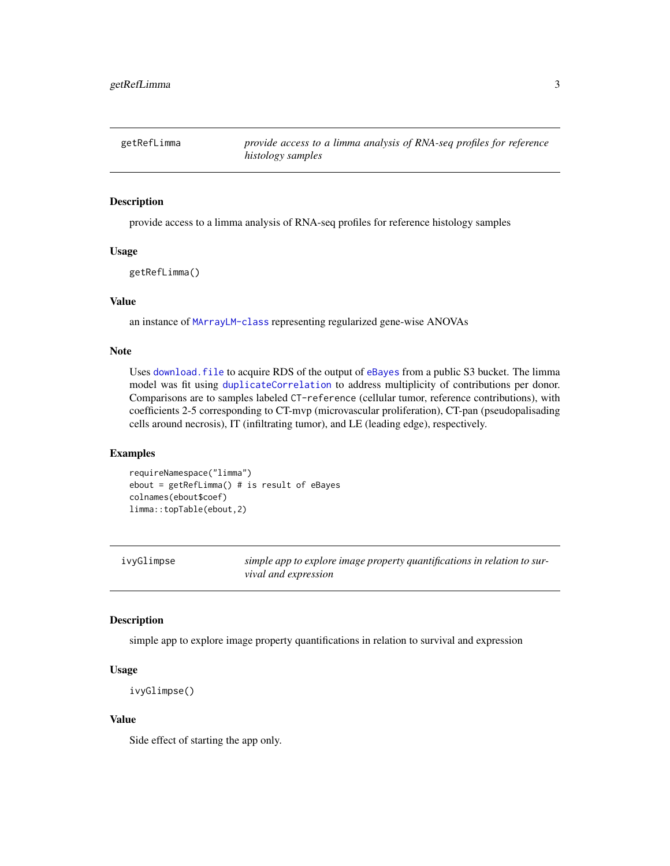<span id="page-2-0"></span>

#### **Description**

provide access to a limma analysis of RNA-seq profiles for reference histology samples

#### Usage

getRefLimma()

#### Value

an instance of [MArrayLM-class](#page-0-0) representing regularized gene-wise ANOVAs

#### Note

Uses [download.file](#page-0-0) to acquire RDS of the output of [eBayes](#page-0-0) from a public S3 bucket. The limma model was fit using [duplicateCorrelation](#page-0-0) to address multiplicity of contributions per donor. Comparisons are to samples labeled CT-reference (cellular tumor, reference contributions), with coefficients 2-5 corresponding to CT-mvp (microvascular proliferation), CT-pan (pseudopalisading cells around necrosis), IT (infiltrating tumor), and LE (leading edge), respectively.

#### Examples

```
requireNamespace("limma")
ebout = getRefLimma() # is result of eBayes
colnames(ebout$coef)
limma::topTable(ebout,2)
```
ivyGlimpse *simple app to explore image property quantifications in relation to survival and expression*

#### Description

simple app to explore image property quantifications in relation to survival and expression

#### Usage

```
ivyGlimpse()
```
#### Value

Side effect of starting the app only.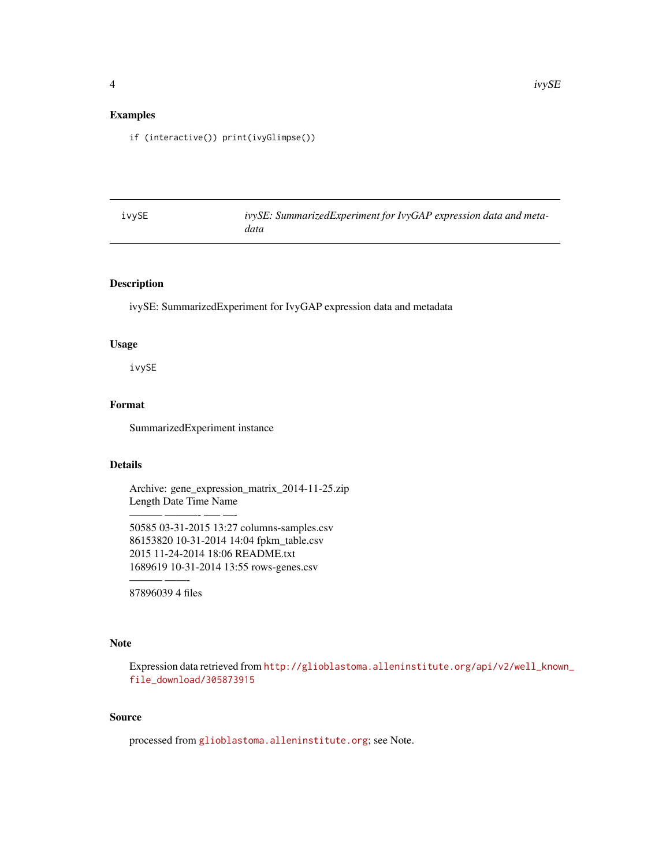#### <span id="page-3-0"></span>Examples

if (interactive()) print(ivyGlimpse())

| ivySE | ivySE: SummarizedExperiment for IvyGAP expression data and meta- |
|-------|------------------------------------------------------------------|
|       | data                                                             |

#### Description

ivySE: SummarizedExperiment for IvyGAP expression data and metadata

#### Usage

ivySE

#### Format

SummarizedExperiment instance

#### Details

Archive: gene\_expression\_matrix\_2014-11-25.zip Length Date Time Name

50585 03-31-2015 13:27 columns-samples.csv 86153820 10-31-2014 14:04 fpkm\_table.csv 2015 11-24-2014 18:06 README.txt 1689619 10-31-2014 13:55 rows-genes.csv

——— ——- 87896039 4 files

——— ———- —– —-

#### Note

Expression data retrieved from [http://glioblastoma.alleninstitute.org/api/v2/well\\_know](http://glioblastoma.alleninstitute.org/api/v2/well_known_file_download/305873915)n\_ [file\\_download/305873915](http://glioblastoma.alleninstitute.org/api/v2/well_known_file_download/305873915)

#### Source

processed from <glioblastoma.alleninstitute.org>; see Note.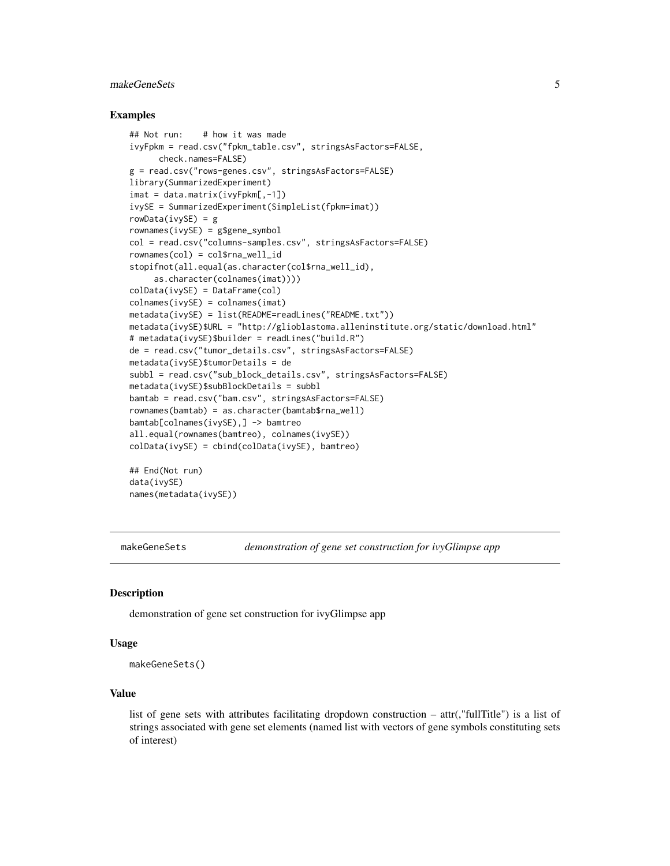#### <span id="page-4-0"></span>makeGeneSets 5

#### Examples

```
## Not run: # how it was made
ivyFpkm = read.csv("fpkm_table.csv", stringsAsFactors=FALSE,
     check.names=FALSE)
g = read.csv("rows-genes.csv", stringsAsFactors=FALSE)
library(SummarizedExperiment)
imat = data.matrix(ivyFpkm[,-1])
ivySE = SummarizedExperiment(SimpleList(fpkm=imat))
rowData(ivySE) = g
rownames(ivySE) = g$gene_symbol
col = read.csv("columns-samples.csv", stringsAsFactors=FALSE)
rownames(col) = col$rna_well_id
stopifnot(all.equal(as.character(col$rna_well_id),
     as.character(colnames(imat))))
colData(ivySE) = DataFrame(col)
colnames(ivySE) = colnames(imat)
metadata(ivySE) = list(README=readLines("README.txt"))
metadata(ivySE)$URL = "http://glioblastoma.alleninstitute.org/static/download.html"
# metadata(ivySE)$builder = readLines("build.R")
de = read.csv("tumor_details.csv", stringsAsFactors=FALSE)
metadata(ivySE)$tumorDetails = de
subbl = read.csv("sub_block_details.csv", stringsAsFactors=FALSE)
metadata(ivySE)$subBlockDetails = subbl
bamtab = read.csv("bam.csv", stringsAsFactors=FALSE)
rownames(bamtab) = as.character(bamtab$rna_well)
bamtab[colnames(ivySE),] -> bamtreo
all.equal(rownames(bamtreo), colnames(ivySE))
colData(ivySE) = cbind(colData(ivySE), bamtreo)
## End(Not run)
data(ivySE)
names(metadata(ivySE))
```
makeGeneSets *demonstration of gene set construction for ivyGlimpse app*

#### **Description**

demonstration of gene set construction for ivyGlimpse app

#### Usage

```
makeGeneSets()
```
#### Value

list of gene sets with attributes facilitating dropdown construction – attr(,"fullTitle") is a list of strings associated with gene set elements (named list with vectors of gene symbols constituting sets of interest)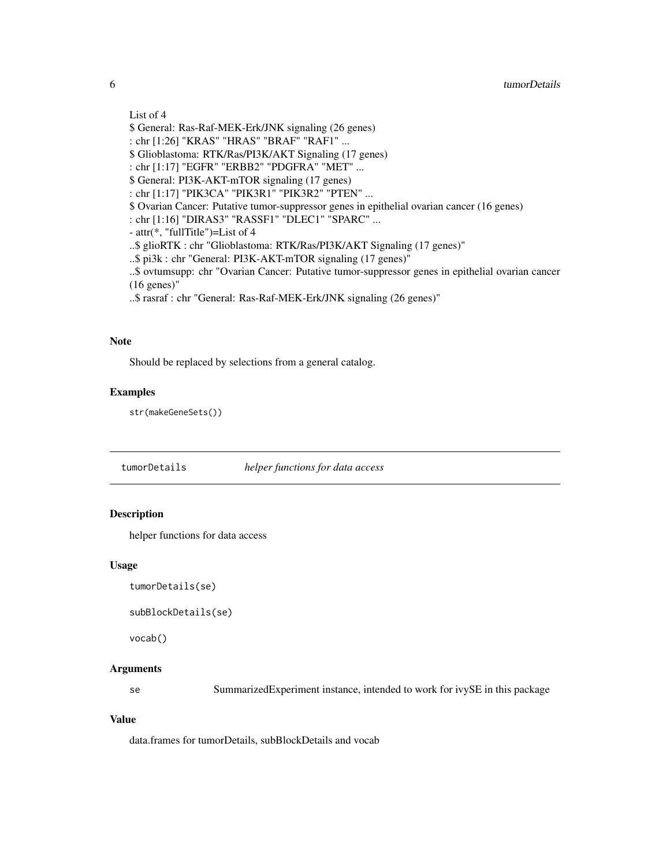#### <span id="page-5-0"></span>List of 4

\$ General: Ras-Raf-MEK-Erk/JNK signaling (26 genes)

: chr [1:26] "KRAS" "HRAS" "BRAF" "RAF1" ...

\$ Glioblastoma: RTK/Ras/PI3K/AKT Signaling (17 genes)

: chr [1:17] "EGFR" "ERBB2" "PDGFRA" "MET" ...

\$ General: PI3K-AKT-mTOR signaling (17 genes)

: chr [1:17] "PIK3CA" "PIK3R1" "PIK3R2" "PTEN" ...

\$ Ovarian Cancer: Putative tumor-suppressor genes in epithelial ovarian cancer (16 genes)

: chr [1:16] "DIRAS3" "RASSF1" "DLEC1" "SPARC" ...

- attr(\*, "fullTitle")=List of 4

..\$ glioRTK : chr "Glioblastoma: RTK/Ras/PI3K/AKT Signaling (17 genes)"

..\$ pi3k : chr "General: PI3K-AKT-mTOR signaling (17 genes)"

..\$ ovtumsupp: chr "Ovarian Cancer: Putative tumor-suppressor genes in epithelial ovarian cancer (16 genes)"

..\$ rasraf : chr "General: Ras-Raf-MEK-Erk/JNK signaling (26 genes)"

#### **Note**

Should be replaced by selections from a general catalog.

#### Examples

str(makeGeneSets())

tumorDetails *helper functions for data access*

#### Description

helper functions for data access

#### Usage

```
tumorDetails(se)
```

```
subBlockDetails(se)
```
vocab()

#### Arguments

se SummarizedExperiment instance, intended to work for ivySE in this package

#### Value

data.frames for tumorDetails, subBlockDetails and vocab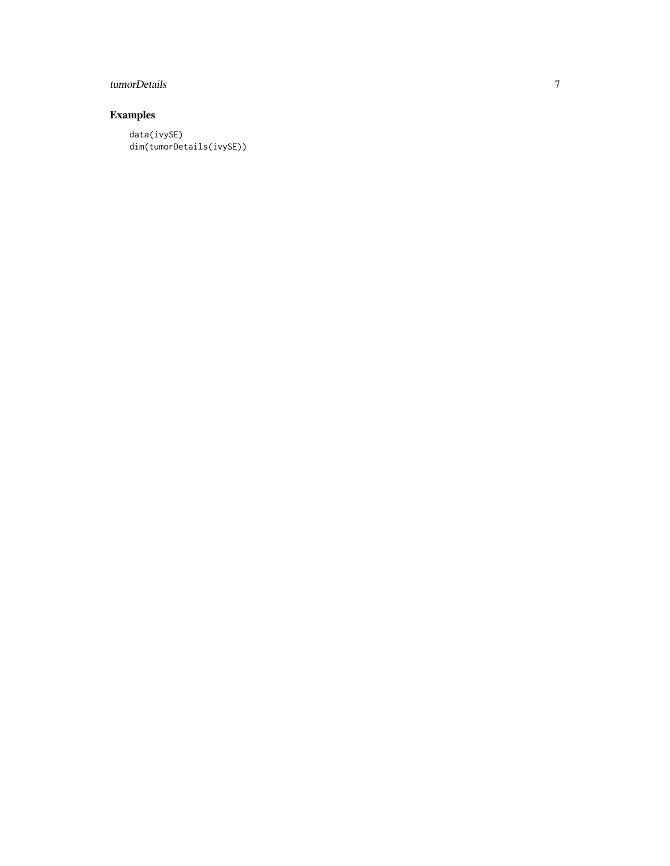#### tumorDetails

#### Examples

data(ivySE) dim(tumorDetails(ivySE))